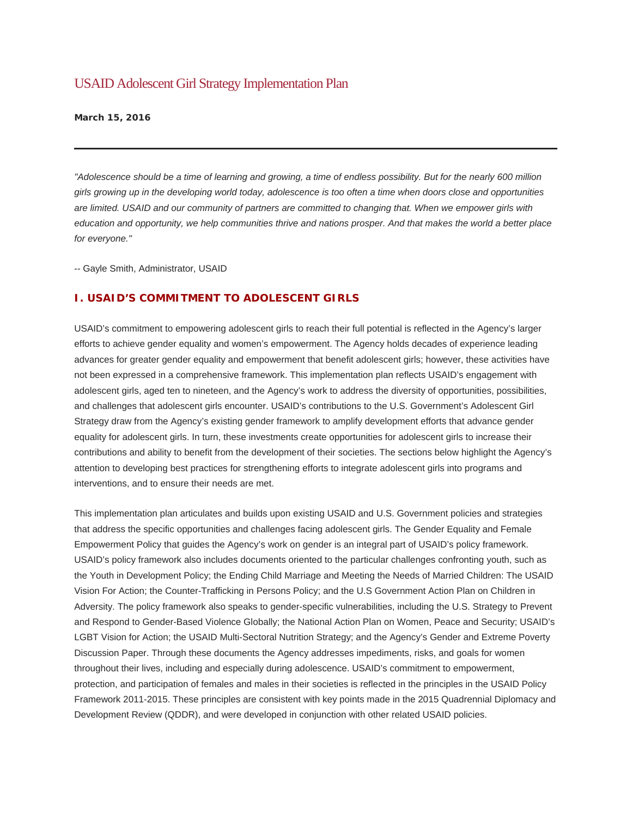# USAID Adolescent Girl Strategy Implementation Plan

**March 15, 2016** 

*"Adolescence should be a time of learning and growing, a time of endless possibility. But for the nearly 600 million girls growing up in the developing world today, adolescence is too often a time when doors close and opportunities are limited. USAID and our community of partners are committed to changing that. When we empower girls with education and opportunity, we help communities thrive and nations prosper. And that makes the world a better place for everyone."*

-- Gayle Smith, Administrator, USAID

## **I. USAID'S COMMITMENT TO ADOLESCENT GIRLS**

USAID's commitment to empowering adolescent girls to reach their full potential is reflected in the Agency's larger efforts to achieve gender equality and women's empowerment. The Agency holds decades of experience leading advances for greater gender equality and empowerment that benefit adolescent girls; however, these activities have not been expressed in a comprehensive framework. This implementation plan reflects USAID's engagement with adolescent girls, aged ten to nineteen, and the Agency's work to address the diversity of opportunities, possibilities, and challenges that adolescent girls encounter. USAID's contributions to the U.S. Government's Adolescent Girl Strategy draw from the Agency's existing gender framework to amplify development efforts that advance gender equality for adolescent girls. In turn, these investments create opportunities for adolescent girls to increase their contributions and ability to benefit from the development of their societies. The sections below highlight the Agency's attention to developing best practices for strengthening efforts to integrate adolescent girls into programs and interventions, and to ensure their needs are met.

This implementation plan articulates and builds upon existing USAID and U.S. Government policies and strategies that address the specific opportunities and challenges facing adolescent girls. The Gender Equality and Female Empowerment Policy that guides the Agency's work on gender is an integral part of USAID's policy framework. USAID's policy framework also includes documents oriented to the particular challenges confronting youth, such as the Youth in Development Policy; the Ending Child Marriage and Meeting the Needs of Married Children: The USAID Vision For Action; the Counter-Trafficking in Persons Policy; and the U.S Government Action Plan on Children in Adversity. The policy framework also speaks to gender-specific vulnerabilities, including the U.S. Strategy to Prevent and Respond to Gender-Based Violence Globally; the National Action Plan on Women, Peace and Security; USAID's LGBT Vision for Action; the USAID Multi-Sectoral Nutrition Strategy; and the Agency's Gender and Extreme Poverty Discussion Paper. Through these documents the Agency addresses impediments, risks, and goals for women throughout their lives, including and especially during adolescence. USAID's commitment to empowerment, protection, and participation of females and males in their societies is reflected in the principles in the USAID Policy Framework 2011-2015. These principles are consistent with key points made in the 2015 Quadrennial Diplomacy and Development Review (QDDR), and were developed in conjunction with other related USAID policies.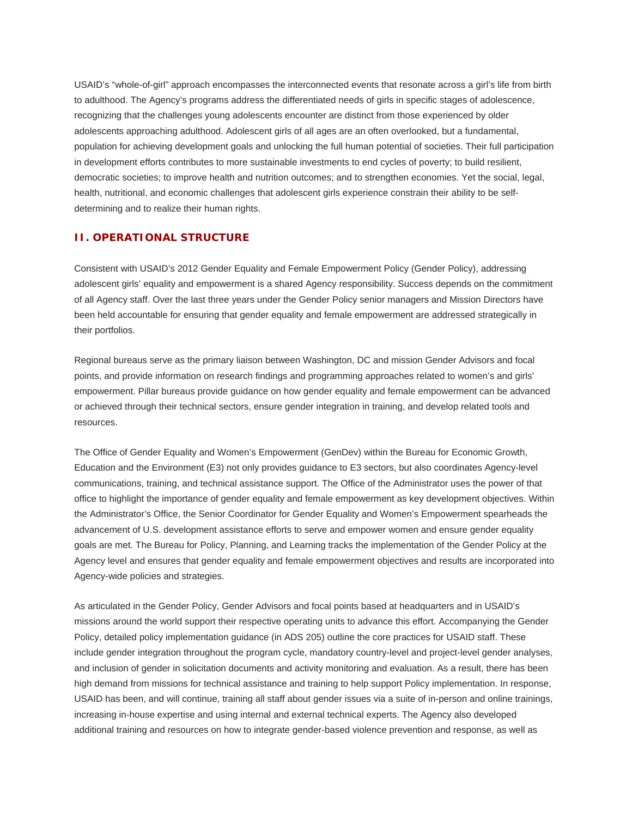USAID's "whole-of-girl" approach encompasses the interconnected events that resonate across a girl's life from birth to adulthood. The Agency's programs address the differentiated needs of girls in specific stages of adolescence, recognizing that the challenges young adolescents encounter are distinct from those experienced by older adolescents approaching adulthood. Adolescent girls of all ages are an often overlooked, but a fundamental, population for achieving development goals and unlocking the full human potential of societies. Their full participation in development efforts contributes to more sustainable investments to end cycles of poverty; to build resilient, democratic societies; to improve health and nutrition outcomes; and to strengthen economies. Yet the social, legal, health, nutritional, and economic challenges that adolescent girls experience constrain their ability to be selfdetermining and to realize their human rights.

## **II. OPERATIONAL STRUCTURE**

Consistent with USAID's 2012 Gender Equality and Female Empowerment Policy (Gender Policy), addressing adolescent girls' equality and empowerment is a shared Agency responsibility. Success depends on the commitment of all Agency staff. Over the last three years under the Gender Policy senior managers and Mission Directors have been held accountable for ensuring that gender equality and female empowerment are addressed strategically in their portfolios.

Regional bureaus serve as the primary liaison between Washington, DC and mission Gender Advisors and focal points, and provide information on research findings and programming approaches related to women's and girls' empowerment. Pillar bureaus provide guidance on how gender equality and female empowerment can be advanced or achieved through their technical sectors, ensure gender integration in training, and develop related tools and resources.

The Office of Gender Equality and Women's Empowerment (GenDev) within the Bureau for Economic Growth, Education and the Environment (E3) not only provides guidance to E3 sectors, but also coordinates Agency-level communications, training, and technical assistance support. The Office of the Administrator uses the power of that office to highlight the importance of gender equality and female empowerment as key development objectives. Within the Administrator's Office, the Senior Coordinator for Gender Equality and Women's Empowerment spearheads the advancement of U.S. development assistance efforts to serve and empower women and ensure gender equality goals are met. The Bureau for Policy, Planning, and Learning tracks the implementation of the Gender Policy at the Agency level and ensures that gender equality and female empowerment objectives and results are incorporated into Agency-wide policies and strategies.

As articulated in the Gender Policy, Gender Advisors and focal points based at headquarters and in USAID's missions around the world support their respective operating units to advance this effort. Accompanying the Gender Policy, detailed policy implementation guidance (in ADS 205) outline the core practices for USAID staff. These include gender integration throughout the program cycle, mandatory country-level and project-level gender analyses, and inclusion of gender in solicitation documents and activity monitoring and evaluation. As a result, there has been high demand from missions for technical assistance and training to help support Policy implementation. In response, USAID has been, and will continue, training all staff about gender issues via a suite of in-person and online trainings, increasing in-house expertise and using internal and external technical experts. The Agency also developed additional training and resources on how to integrate gender-based violence prevention and response, as well as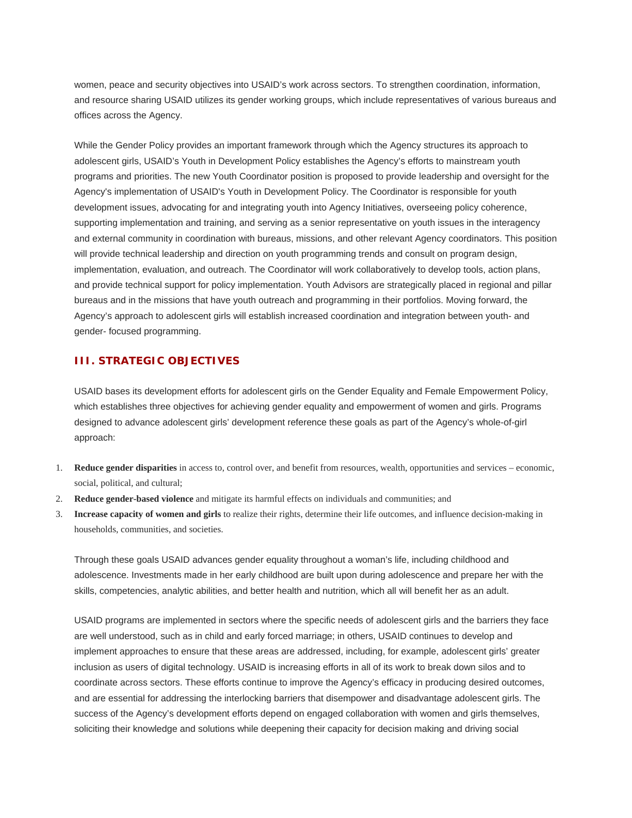women, peace and security objectives into USAID's work across sectors. To strengthen coordination, information, and resource sharing USAID utilizes its gender working groups, which include representatives of various bureaus and offices across the Agency.

While the Gender Policy provides an important framework through which the Agency structures its approach to adolescent girls, USAID's Youth in Development Policy establishes the Agency's efforts to mainstream youth programs and priorities. The new Youth Coordinator position is proposed to provide leadership and oversight for the Agency's implementation of USAID's Youth in Development Policy. The Coordinator is responsible for youth development issues, advocating for and integrating youth into Agency Initiatives, overseeing policy coherence, supporting implementation and training, and serving as a senior representative on youth issues in the interagency and external community in coordination with bureaus, missions, and other relevant Agency coordinators. This position will provide technical leadership and direction on youth programming trends and consult on program design, implementation, evaluation, and outreach. The Coordinator will work collaboratively to develop tools, action plans, and provide technical support for policy implementation. Youth Advisors are strategically placed in regional and pillar bureaus and in the missions that have youth outreach and programming in their portfolios. Moving forward, the Agency's approach to adolescent girls will establish increased coordination and integration between youth- and gender- focused programming.

## **III. STRATEGIC OBJECTIVES**

USAID bases its development efforts for adolescent girls on the Gender Equality and Female Empowerment Policy, which establishes three objectives for achieving gender equality and empowerment of women and girls. Programs designed to advance adolescent girls' development reference these goals as part of the Agency's whole-of-girl approach:

- 1. **Reduce gender disparities** in access to, control over, and benefit from resources, wealth, opportunities and services economic, social, political, and cultural;
- 2. **Reduce gender-based violence** and mitigate its harmful effects on individuals and communities; and
- 3. **Increase capacity of women and girls** to realize their rights, determine their life outcomes, and influence decision-making in households, communities, and societies.

Through these goals USAID advances gender equality throughout a woman's life, including childhood and adolescence. Investments made in her early childhood are built upon during adolescence and prepare her with the skills, competencies, analytic abilities, and better health and nutrition, which all will benefit her as an adult.

USAID programs are implemented in sectors where the specific needs of adolescent girls and the barriers they face are well understood, such as in child and early forced marriage; in others, USAID continues to develop and implement approaches to ensure that these areas are addressed, including, for example, adolescent girls' greater inclusion as users of digital technology. USAID is increasing efforts in all of its work to break down silos and to coordinate across sectors. These efforts continue to improve the Agency's efficacy in producing desired outcomes, and are essential for addressing the interlocking barriers that disempower and disadvantage adolescent girls. The success of the Agency's development efforts depend on engaged collaboration with women and girls themselves, soliciting their knowledge and solutions while deepening their capacity for decision making and driving social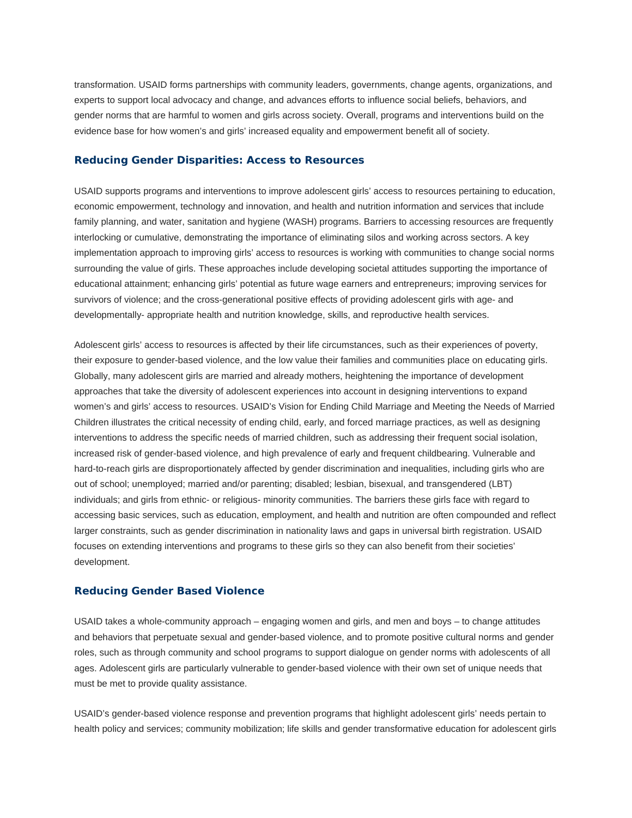transformation. USAID forms partnerships with community leaders, governments, change agents, organizations, and experts to support local advocacy and change, and advances efforts to influence social beliefs, behaviors, and gender norms that are harmful to women and girls across society. Overall, programs and interventions build on the evidence base for how women's and girls' increased equality and empowerment benefit all of society.

#### **Reducing Gender Disparities: Access to Resources**

USAID supports programs and interventions to improve adolescent girls' access to resources pertaining to education, economic empowerment, technology and innovation, and health and nutrition information and services that include family planning, and water, sanitation and hygiene (WASH) programs. Barriers to accessing resources are frequently interlocking or cumulative, demonstrating the importance of eliminating silos and working across sectors. A key implementation approach to improving girls' access to resources is working with communities to change social norms surrounding the value of girls. These approaches include developing societal attitudes supporting the importance of educational attainment; enhancing girls' potential as future wage earners and entrepreneurs; improving services for survivors of violence; and the cross-generational positive effects of providing adolescent girls with age- and developmentally- appropriate health and nutrition knowledge, skills, and reproductive health services.

Adolescent girls' access to resources is affected by their life circumstances, such as their experiences of poverty, their exposure to gender-based violence, and the low value their families and communities place on educating girls. Globally, many adolescent girls are married and already mothers, heightening the importance of development approaches that take the diversity of adolescent experiences into account in designing interventions to expand women's and girls' access to resources. USAID's Vision for Ending Child Marriage and Meeting the Needs of Married Children illustrates the critical necessity of ending child, early, and forced marriage practices, as well as designing interventions to address the specific needs of married children, such as addressing their frequent social isolation, increased risk of gender-based violence, and high prevalence of early and frequent childbearing. Vulnerable and hard-to-reach girls are disproportionately affected by gender discrimination and inequalities, including girls who are out of school; unemployed; married and/or parenting; disabled; lesbian, bisexual, and transgendered (LBT) individuals; and girls from ethnic- or religious- minority communities. The barriers these girls face with regard to accessing basic services, such as education, employment, and health and nutrition are often compounded and reflect larger constraints, such as gender discrimination in nationality laws and gaps in universal birth registration. USAID focuses on extending interventions and programs to these girls so they can also benefit from their societies' development.

#### **Reducing Gender Based Violence**

USAID takes a whole-community approach – engaging women and girls, and men and boys – to change attitudes and behaviors that perpetuate sexual and gender-based violence, and to promote positive cultural norms and gender roles, such as through community and school programs to support dialogue on gender norms with adolescents of all ages. Adolescent girls are particularly vulnerable to gender-based violence with their own set of unique needs that must be met to provide quality assistance.

USAID's gender-based violence response and prevention programs that highlight adolescent girls' needs pertain to health policy and services; community mobilization; life skills and gender transformative education for adolescent girls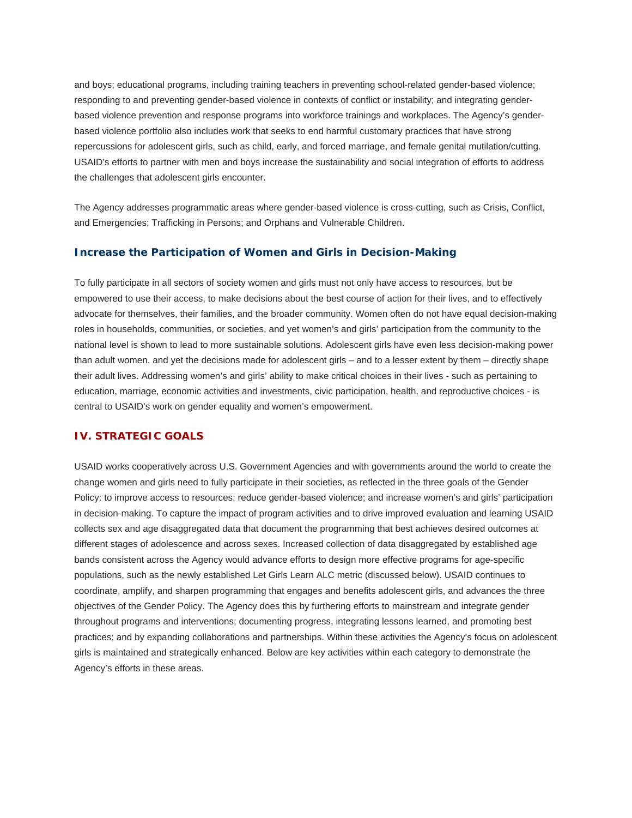and boys; educational programs, including training teachers in preventing school-related gender-based violence; responding to and preventing gender-based violence in contexts of conflict or instability; and integrating genderbased violence prevention and response programs into workforce trainings and workplaces. The Agency's genderbased violence portfolio also includes work that seeks to end harmful customary practices that have strong repercussions for adolescent girls, such as child, early, and forced marriage, and female genital mutilation/cutting. USAID's efforts to partner with men and boys increase the sustainability and social integration of efforts to address the challenges that adolescent girls encounter.

The Agency addresses programmatic areas where gender-based violence is cross-cutting, such as Crisis, Conflict, and Emergencies; Trafficking in Persons; and Orphans and Vulnerable Children.

#### **Increase the Participation of Women and Girls in Decision-Making**

To fully participate in all sectors of society women and girls must not only have access to resources, but be empowered to use their access, to make decisions about the best course of action for their lives, and to effectively advocate for themselves, their families, and the broader community. Women often do not have equal decision-making roles in households, communities, or societies, and yet women's and girls' participation from the community to the national level is shown to lead to more sustainable solutions. Adolescent girls have even less decision-making power than adult women, and yet the decisions made for adolescent girls – and to a lesser extent by them – directly shape their adult lives. Addressing women's and girls' ability to make critical choices in their lives - such as pertaining to education, marriage, economic activities and investments, civic participation, health, and reproductive choices - is central to USAID's work on gender equality and women's empowerment.

## **IV. STRATEGIC GOALS**

USAID works cooperatively across U.S. Government Agencies and with governments around the world to create the change women and girls need to fully participate in their societies, as reflected in the three goals of the Gender Policy: to improve access to resources; reduce gender-based violence; and increase women's and girls' participation in decision-making. To capture the impact of program activities and to drive improved evaluation and learning USAID collects sex and age disaggregated data that document the programming that best achieves desired outcomes at different stages of adolescence and across sexes. Increased collection of data disaggregated by established age bands consistent across the Agency would advance efforts to design more effective programs for age-specific populations, such as the newly established Let Girls Learn ALC metric (discussed below). USAID continues to coordinate, amplify, and sharpen programming that engages and benefits adolescent girls, and advances the three objectives of the Gender Policy. The Agency does this by furthering efforts to mainstream and integrate gender throughout programs and interventions; documenting progress, integrating lessons learned, and promoting best practices; and by expanding collaborations and partnerships. Within these activities the Agency's focus on adolescent girls is maintained and strategically enhanced. Below are key activities within each category to demonstrate the Agency's efforts in these areas.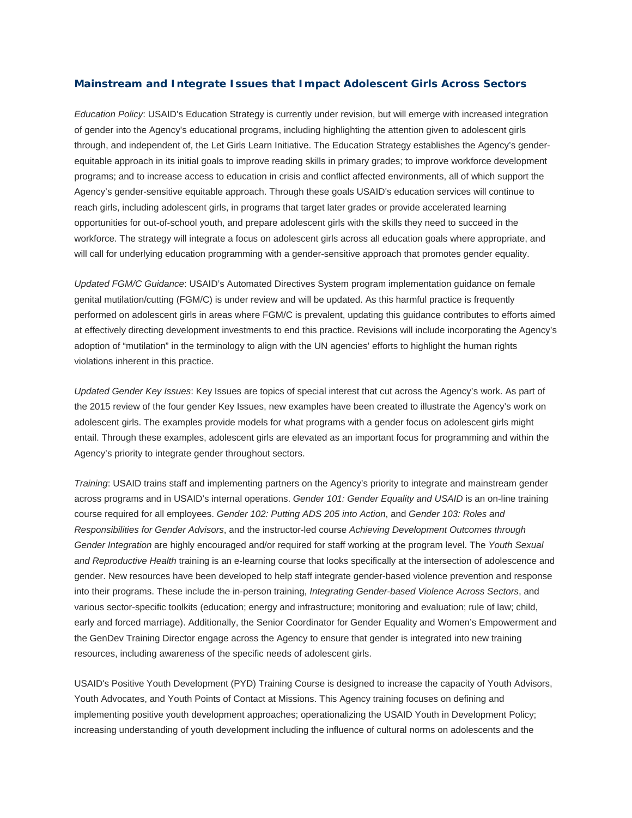### **Mainstream and Integrate Issues that Impact Adolescent Girls Across Sectors**

*Education Policy*: USAID's Education Strategy is currently under revision, but will emerge with increased integration of gender into the Agency's educational programs, including highlighting the attention given to adolescent girls through, and independent of, the Let Girls Learn Initiative. The Education Strategy establishes the Agency's genderequitable approach in its initial goals to improve reading skills in primary grades; to improve workforce development programs; and to increase access to education in crisis and conflict affected environments, all of which support the Agency's gender-sensitive equitable approach. Through these goals USAID's education services will continue to reach girls, including adolescent girls, in programs that target later grades or provide accelerated learning opportunities for out-of-school youth, and prepare adolescent girls with the skills they need to succeed in the workforce. The strategy will integrate a focus on adolescent girls across all education goals where appropriate, and will call for underlying education programming with a gender-sensitive approach that promotes gender equality.

*Updated FGM/C Guidance*: USAID's Automated Directives System program implementation guidance on female genital mutilation/cutting (FGM/C) is under review and will be updated. As this harmful practice is frequently performed on adolescent girls in areas where FGM/C is prevalent, updating this guidance contributes to efforts aimed at effectively directing development investments to end this practice. Revisions will include incorporating the Agency's adoption of "mutilation" in the terminology to align with the UN agencies' efforts to highlight the human rights violations inherent in this practice.

*Updated Gender Key Issues*: Key Issues are topics of special interest that cut across the Agency's work. As part of the 2015 review of the four gender Key Issues, new examples have been created to illustrate the Agency's work on adolescent girls. The examples provide models for what programs with a gender focus on adolescent girls might entail. Through these examples, adolescent girls are elevated as an important focus for programming and within the Agency's priority to integrate gender throughout sectors.

*Training*: USAID trains staff and implementing partners on the Agency's priority to integrate and mainstream gender across programs and in USAID's internal operations. *Gender 101: Gender Equality and USAID* is an on-line training course required for all employees. *Gender 102: Putting ADS 205 into Action*, and *Gender 103: Roles and Responsibilities for Gender Advisors*, and the instructor-led course *Achieving Development Outcomes through Gender Integration* are highly encouraged and/or required for staff working at the program level. The *Youth Sexual and Reproductive Health* training is an e-learning course that looks specifically at the intersection of adolescence and gender. New resources have been developed to help staff integrate gender-based violence prevention and response into their programs. These include the in-person training, *Integrating Gender-based Violence Across Sectors*, and various sector-specific toolkits (education; energy and infrastructure; monitoring and evaluation; rule of law; child, early and forced marriage). Additionally, the Senior Coordinator for Gender Equality and Women's Empowerment and the GenDev Training Director engage across the Agency to ensure that gender is integrated into new training resources, including awareness of the specific needs of adolescent girls.

USAID's Positive Youth Development (PYD) Training Course is designed to increase the capacity of Youth Advisors, Youth Advocates, and Youth Points of Contact at Missions. This Agency training focuses on defining and implementing positive youth development approaches; operationalizing the USAID Youth in Development Policy; increasing understanding of youth development including the influence of cultural norms on adolescents and the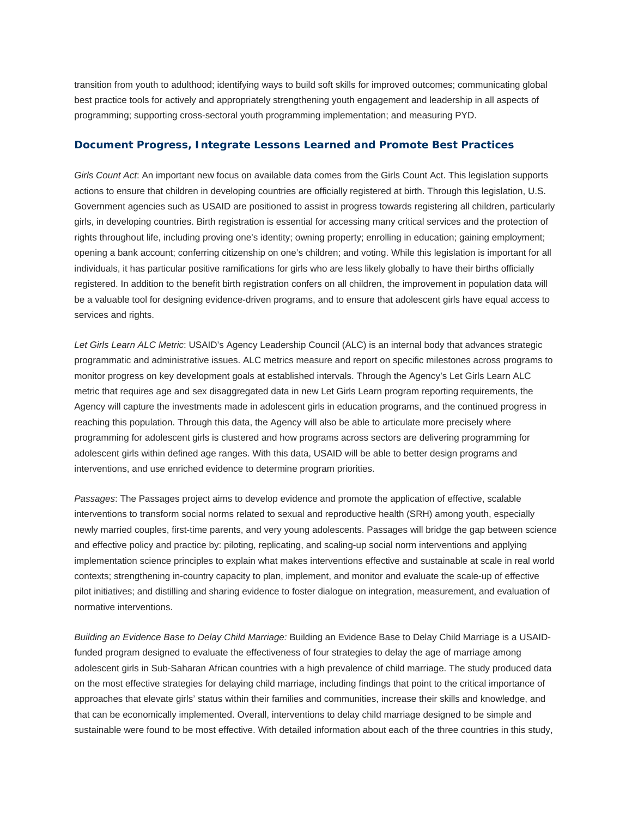transition from youth to adulthood; identifying ways to build soft skills for improved outcomes; communicating global best practice tools for actively and appropriately strengthening youth engagement and leadership in all aspects of programming; supporting cross-sectoral youth programming implementation; and measuring PYD.

#### **Document Progress, Integrate Lessons Learned and Promote Best Practices**

*Girls Count Act*: An important new focus on available data comes from the Girls Count Act. This legislation supports actions to ensure that children in developing countries are officially registered at birth. Through this legislation, U.S. Government agencies such as USAID are positioned to assist in progress towards registering all children, particularly girls, in developing countries. Birth registration is essential for accessing many critical services and the protection of rights throughout life, including proving one's identity; owning property; enrolling in education; gaining employment; opening a bank account; conferring citizenship on one's children; and voting. While this legislation is important for all individuals, it has particular positive ramifications for girls who are less likely globally to have their births officially registered. In addition to the benefit birth registration confers on all children, the improvement in population data will be a valuable tool for designing evidence-driven programs, and to ensure that adolescent girls have equal access to services and rights.

*Let Girls Learn ALC Metric*: USAID's Agency Leadership Council (ALC) is an internal body that advances strategic programmatic and administrative issues. ALC metrics measure and report on specific milestones across programs to monitor progress on key development goals at established intervals. Through the Agency's Let Girls Learn ALC metric that requires age and sex disaggregated data in new Let Girls Learn program reporting requirements, the Agency will capture the investments made in adolescent girls in education programs, and the continued progress in reaching this population. Through this data, the Agency will also be able to articulate more precisely where programming for adolescent girls is clustered and how programs across sectors are delivering programming for adolescent girls within defined age ranges. With this data, USAID will be able to better design programs and interventions, and use enriched evidence to determine program priorities.

*Passages*: The Passages project aims to develop evidence and promote the application of effective, scalable interventions to transform social norms related to sexual and reproductive health (SRH) among youth, especially newly married couples, first-time parents, and very young adolescents. Passages will bridge the gap between science and effective policy and practice by: piloting, replicating, and scaling-up social norm interventions and applying implementation science principles to explain what makes interventions effective and sustainable at scale in real world contexts; strengthening in-country capacity to plan, implement, and monitor and evaluate the scale-up of effective pilot initiatives; and distilling and sharing evidence to foster dialogue on integration, measurement, and evaluation of normative interventions.

*Building an Evidence Base to Delay Child Marriage:* Building an Evidence Base to Delay Child Marriage is a USAIDfunded program designed to evaluate the effectiveness of four strategies to delay the age of marriage among adolescent girls in Sub-Saharan African countries with a high prevalence of child marriage. The study produced data on the most effective strategies for delaying child marriage, including findings that point to the critical importance of approaches that elevate girls' status within their families and communities, increase their skills and knowledge, and that can be economically implemented. Overall, interventions to delay child marriage designed to be simple and sustainable were found to be most effective. With detailed information about each of the three countries in this study,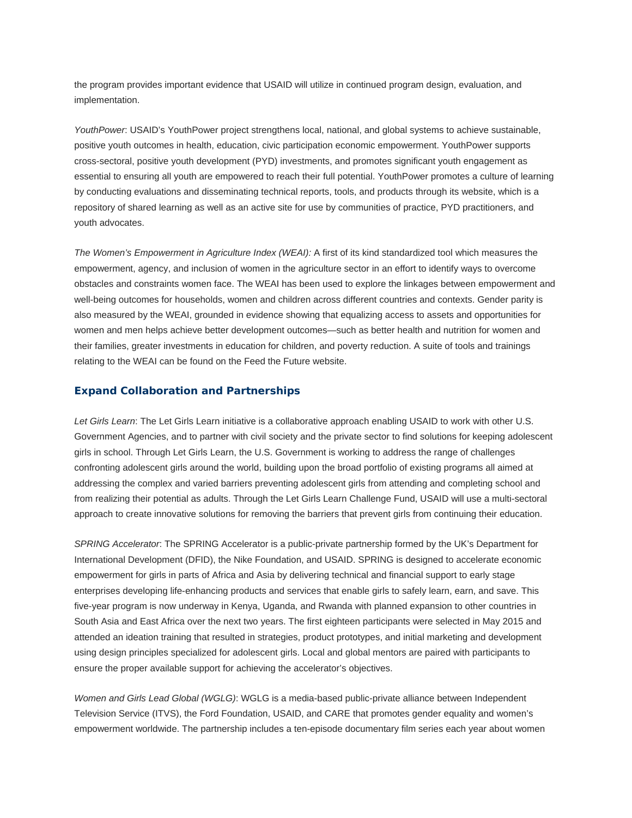the program provides important evidence that USAID will utilize in continued program design, evaluation, and implementation.

*YouthPower*: USAID's YouthPower project strengthens local, national, and global systems to achieve sustainable, positive youth outcomes in health, education, civic participation economic empowerment. YouthPower supports cross-sectoral, positive youth development (PYD) investments, and promotes significant youth engagement as essential to ensuring all youth are empowered to reach their full potential. YouthPower promotes a culture of learning by conducting evaluations and disseminating technical reports, tools, and products through its website, which is a repository of shared learning as well as an active site for use by communities of practice, PYD practitioners, and youth advocates.

*The Women's Empowerment in Agriculture Index (WEAI):* A first of its kind standardized tool which measures the empowerment, agency, and inclusion of women in the agriculture sector in an effort to identify ways to overcome obstacles and constraints women face. The WEAI has been used to explore the linkages between empowerment and well-being outcomes for households, women and children across different countries and contexts. Gender parity is also measured by the WEAI, grounded in evidence showing that equalizing access to assets and opportunities for women and men helps achieve better development outcomes—such as better health and nutrition for women and their families, greater investments in education for children, and poverty reduction. A suite of tools and trainings relating to the WEAI can be found on the Feed the Future website.

## **Expand Collaboration and Partnerships**

*Let Girls Learn*: The Let Girls Learn initiative is a collaborative approach enabling USAID to work with other U.S. Government Agencies, and to partner with civil society and the private sector to find solutions for keeping adolescent girls in school. Through Let Girls Learn, the U.S. Government is working to address the range of challenges confronting adolescent girls around the world, building upon the broad portfolio of existing programs all aimed at addressing the complex and varied barriers preventing adolescent girls from attending and completing school and from realizing their potential as adults. Through the Let Girls Learn Challenge Fund, USAID will use a multi-sectoral approach to create innovative solutions for removing the barriers that prevent girls from continuing their education.

*SPRING Accelerator*: The SPRING Accelerator is a public-private partnership formed by the UK's Department for International Development (DFID), the Nike Foundation, and USAID. SPRING is designed to accelerate economic empowerment for girls in parts of Africa and Asia by delivering technical and financial support to early stage enterprises developing life-enhancing products and services that enable girls to safely learn, earn, and save. This five-year program is now underway in Kenya, Uganda, and Rwanda with planned expansion to other countries in South Asia and East Africa over the next two years. The first eighteen participants were selected in May 2015 and attended an ideation training that resulted in strategies, product prototypes, and initial marketing and development using design principles specialized for adolescent girls. Local and global mentors are paired with participants to ensure the proper available support for achieving the accelerator's objectives.

*Women and Girls Lead Global (WGLG)*: WGLG is a media-based public-private alliance between Independent Television Service (ITVS), the Ford Foundation, USAID, and CARE that promotes gender equality and women's empowerment worldwide. The partnership includes a ten-episode documentary film series each year about women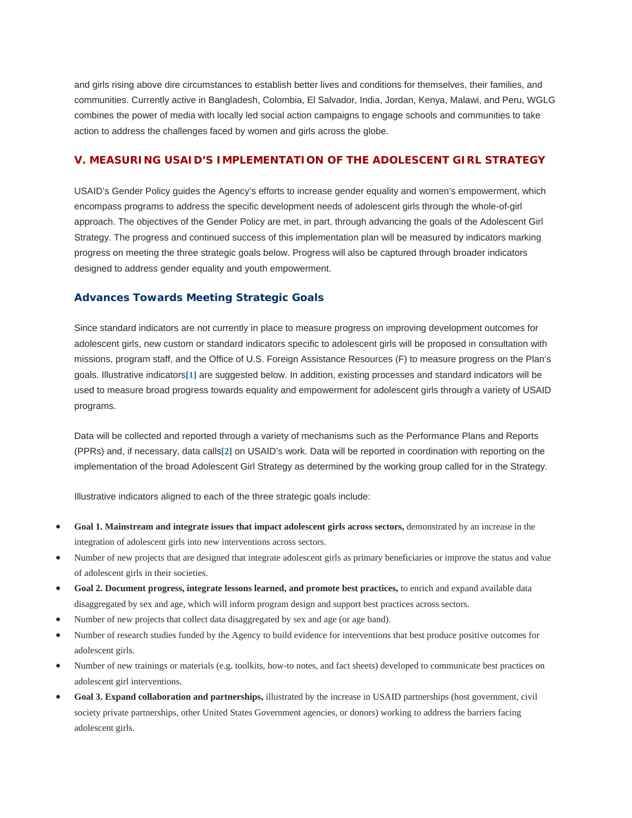and girls rising above dire circumstances to establish better lives and conditions for themselves, their families, and communities. Currently active in Bangladesh, Colombia, El Salvador, India, Jordan, Kenya, Malawi, and Peru, WGLG combines the power of media with locally led social action campaigns to engage schools and communities to take action to address the challenges faced by women and girls across the globe.

#### **V. MEASURING USAID'S IMPLEMENTATION OF THE ADOLESCENT GIRL STRATEGY**

USAID's Gender Policy guides the Agency's efforts to increase gender equality and women's empowerment, which encompass programs to address the specific development needs of adolescent girls through the whole-of-girl approach. The objectives of the Gender Policy are met, in part, through advancing the goals of the Adolescent Girl Strategy. The progress and continued success of this implementation plan will be measured by indicators marking progress on meeting the three strategic goals below. Progress will also be captured through broader indicators designed to address gender equality and youth empowerment.

### **Advances Towards Meeting Strategic Goals**

Since standard indicators are not currently in place to measure progress on improving development outcomes for adolescent girls, new custom or standard indicators specific to adolescent girls will be proposed in consultation with missions, program staff, and the Office of U.S. Foreign Assistance Resources (F) to measure progress on the Plan's goals. Illustrative indicators**[1]** are suggested below. In addition, existing processes and standard indicators will be used to measure broad progress towards equality and empowerment for adolescent girls through a variety of USAID programs.

Data will be collected and reported through a variety of mechanisms such as the Performance Plans and Reports (PPRs) and, if necessary, data calls**[2]** on USAID's work. Data will be reported in coordination with reporting on the implementation of the broad Adolescent Girl Strategy as determined by the working group called for in the Strategy.

Illustrative indicators aligned to each of the three strategic goals include:

- **Goal 1. Mainstream and integrate issues that impact adolescent girls across sectors,** demonstrated by an increase in the integration of adolescent girls into new interventions across sectors.
- Number of new projects that are designed that integrate adolescent girls as primary beneficiaries or improve the status and value of adolescent girls in their societies.
- Goal 2. Document progress, integrate lessons learned, and promote best practices, to enrich and expand available data disaggregated by sex and age, which will inform program design and support best practices across sectors.
- Number of new projects that collect data disaggregated by sex and age (or age band).
- Number of research studies funded by the Agency to build evidence for interventions that best produce positive outcomes for adolescent girls.
- Number of new trainings or materials (e.g. toolkits, how-to notes, and fact sheets) developed to communicate best practices on adolescent girl interventions.
- **Goal 3. Expand collaboration and partnerships,** illustrated by the increase in USAID partnerships (host government, civil society private partnerships, other United States Government agencies, or donors) working to address the barriers facing adolescent girls.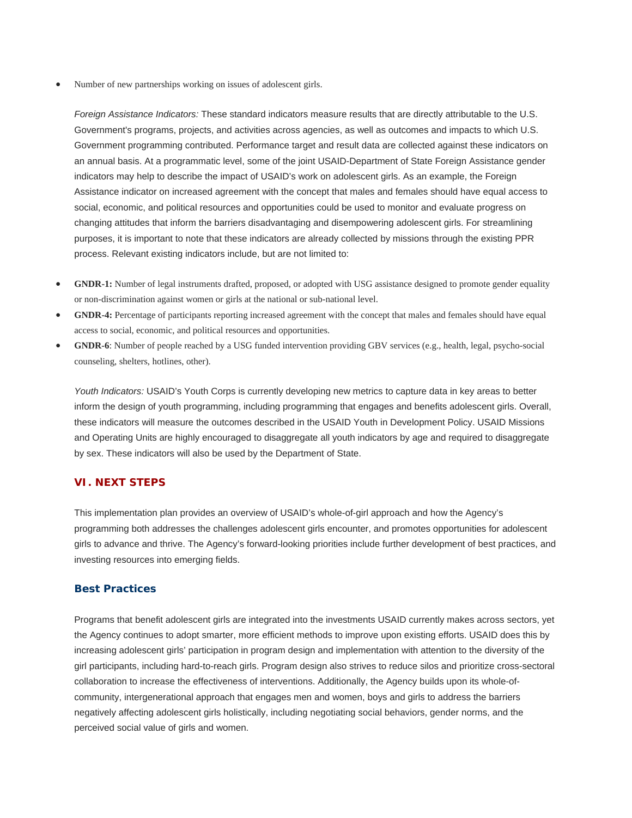Number of new partnerships working on issues of adolescent girls.

*Foreign Assistance Indicators:* These standard indicators measure results that are directly attributable to the U.S. Government's programs, projects, and activities across agencies, as well as outcomes and impacts to which U.S. Government programming contributed. Performance target and result data are collected against these indicators on an annual basis. At a programmatic level, some of the joint USAID-Department of State Foreign Assistance gender indicators may help to describe the impact of USAID's work on adolescent girls. As an example, the Foreign Assistance indicator on increased agreement with the concept that males and females should have equal access to social, economic, and political resources and opportunities could be used to monitor and evaluate progress on changing attitudes that inform the barriers disadvantaging and disempowering adolescent girls. For streamlining purposes, it is important to note that these indicators are already collected by missions through the existing PPR process. Relevant existing indicators include, but are not limited to:

- **GNDR-1:** Number of legal instruments drafted, proposed, or adopted with USG assistance designed to promote gender equality or non-discrimination against women or girls at the national or sub-national level.
- **GNDR-4:** Percentage of participants reporting increased agreement with the concept that males and females should have equal access to social, economic, and political resources and opportunities.
- **GNDR-6**: Number of people reached by a USG funded intervention providing GBV services (e.g., health, legal, psycho-social counseling, shelters, hotlines, other).

*Youth Indicators:* USAID's Youth Corps is currently developing new metrics to capture data in key areas to better inform the design of youth programming, including programming that engages and benefits adolescent girls. Overall, these indicators will measure the outcomes described in the USAID Youth in Development Policy. USAID Missions and Operating Units are highly encouraged to disaggregate all youth indicators by age and required to disaggregate by sex. These indicators will also be used by the Department of State.

## **VI. NEXT STEPS**

This implementation plan provides an overview of USAID's whole-of-girl approach and how the Agency's programming both addresses the challenges adolescent girls encounter, and promotes opportunities for adolescent girls to advance and thrive. The Agency's forward-looking priorities include further development of best practices, and investing resources into emerging fields.

#### **Best Practices**

Programs that benefit adolescent girls are integrated into the investments USAID currently makes across sectors, yet the Agency continues to adopt smarter, more efficient methods to improve upon existing efforts. USAID does this by increasing adolescent girls' participation in program design and implementation with attention to the diversity of the girl participants, including hard-to-reach girls. Program design also strives to reduce silos and prioritize cross-sectoral collaboration to increase the effectiveness of interventions. Additionally, the Agency builds upon its whole-ofcommunity, intergenerational approach that engages men and women, boys and girls to address the barriers negatively affecting adolescent girls holistically, including negotiating social behaviors, gender norms, and the perceived social value of girls and women.